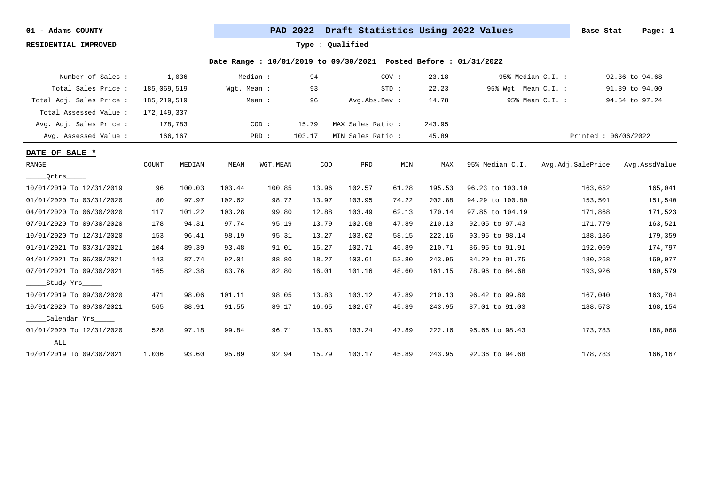**RESIDENTIAL IMPROVED Type : Qualified**

| Number of Sales :        |               | 1,036   |             | Median : | 94     |                   | COV:  | 23.18  |                      | 95% Median C.I. : | 92.36 to 94.68      |
|--------------------------|---------------|---------|-------------|----------|--------|-------------------|-------|--------|----------------------|-------------------|---------------------|
| Total Sales Price :      | 185,069,519   |         | Wgt. Mean : |          | 93     |                   | STD:  | 22.23  | 95% Wgt. Mean C.I. : |                   | 91.89 to 94.00      |
| Total Adj. Sales Price : | 185, 219, 519 |         |             | Mean :   | 96     | Avg.Abs.Dev :     |       | 14.78  |                      | 95% Mean C.I. :   | 94.54 to 97.24      |
| Total Assessed Value :   | 172, 149, 337 |         |             |          |        |                   |       |        |                      |                   |                     |
| Avg. Adj. Sales Price :  |               | 178,783 |             | COD:     | 15.79  | MAX Sales Ratio:  |       | 243.95 |                      |                   |                     |
| Avg. Assessed Value :    |               | 166,167 |             | PRD :    | 103.17 | MIN Sales Ratio : |       | 45.89  |                      |                   | Printed: 06/06/2022 |
| DATE OF SALE *           |               |         |             |          |        |                   |       |        |                      |                   |                     |
| RANGE                    | COUNT         | MEDIAN  | MEAN        | WGT.MEAN | COD    | PRD               | MIN   | MAX    | 95% Median C.I.      | Avg.Adj.SalePrice | Avg.AssdValue       |
| Qrtrs_____               |               |         |             |          |        |                   |       |        |                      |                   |                     |
| 10/01/2019 To 12/31/2019 | 96            | 100.03  | 103.44      | 100.85   | 13.96  | 102.57            | 61.28 | 195.53 | 96.23 to 103.10      | 163,652           | 165,041             |
| 01/01/2020 To 03/31/2020 | 80            | 97.97   | 102.62      | 98.72    | 13.97  | 103.95            | 74.22 | 202.88 | 94.29 to 100.80      | 153,501           | 151,540             |
| 04/01/2020 To 06/30/2020 | 117           | 101.22  | 103.28      | 99.80    | 12.88  | 103.49            | 62.13 | 170.14 | 97.85 to 104.19      | 171,868           | 171,523             |
| 07/01/2020 To 09/30/2020 | 178           | 94.31   | 97.74       | 95.19    | 13.79  | 102.68            | 47.89 | 210.13 | 92.05 to 97.43       | 171,779           | 163,521             |
| 10/01/2020 To 12/31/2020 | 153           | 96.41   | 98.19       | 95.31    | 13.27  | 103.02            | 58.15 | 222.16 | 93.95 to 98.14       | 188,186           | 179,359             |
| 01/01/2021 To 03/31/2021 | 104           | 89.39   | 93.48       | 91.01    | 15.27  | 102.71            | 45.89 | 210.71 | 86.95 to 91.91       | 192,069           | 174,797             |
| 04/01/2021 To 06/30/2021 | 143           | 87.74   | 92.01       | 88.80    | 18.27  | 103.61            | 53.80 | 243.95 | 84.29 to 91.75       | 180,268           | 160,077             |
| 07/01/2021 To 09/30/2021 | 165           | 82.38   | 83.76       | 82.80    | 16.01  | 101.16            | 48.60 | 161.15 | 78.96 to 84.68       | 193,926           | 160,579             |
| Study Yrs                |               |         |             |          |        |                   |       |        |                      |                   |                     |
| 10/01/2019 To 09/30/2020 | 471           | 98.06   | 101.11      | 98.05    | 13.83  | 103.12            | 47.89 | 210.13 | 96.42 to 99.80       | 167,040           | 163,784             |
| 10/01/2020 To 09/30/2021 | 565           | 88.91   | 91.55       | 89.17    | 16.65  | 102.67            | 45.89 | 243.95 | 87.01 to 91.03       | 188,573           | 168,154             |
| Calendar Yrs             |               |         |             |          |        |                   |       |        |                      |                   |                     |
| 01/01/2020 To 12/31/2020 | 528           | 97.18   | 99.84       | 96.71    | 13.63  | 103.24            | 47.89 | 222.16 | 95.66 to 98.43       | 173,783           | 168,068             |
| ALL                      |               |         |             |          |        |                   |       |        |                      |                   |                     |
| 10/01/2019 To 09/30/2021 | 1,036         | 93.60   | 95.89       | 92.94    | 15.79  | 103.17            | 45.89 | 243.95 | 92.36 to 94.68       | 178,783           | 166,167             |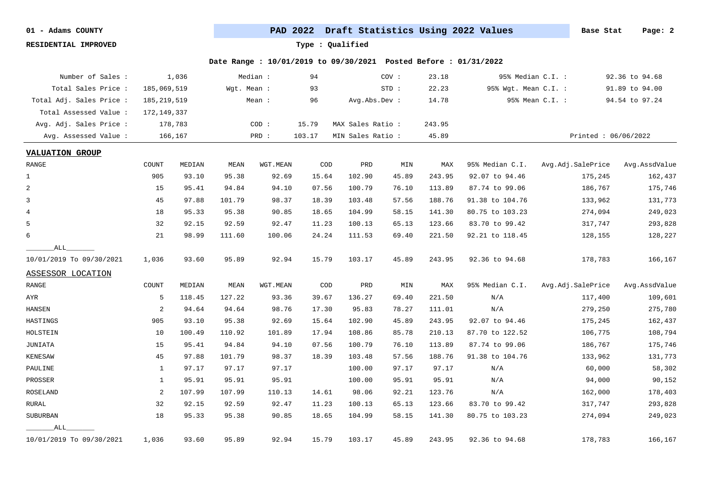**RESIDENTIAL IMPROVED Type : Qualified**

| Number of Sales :        |               | 1,036   |             | Median : | 94     |                   | COV : | 23.18  |                      | 95% Median C.I. : | 92.36 to 94.68      |
|--------------------------|---------------|---------|-------------|----------|--------|-------------------|-------|--------|----------------------|-------------------|---------------------|
| Total Sales Price :      | 185,069,519   |         | Wgt. Mean : |          | 93     |                   | STD:  | 22.23  | 95% Wgt. Mean C.I. : |                   | 91.89 to 94.00      |
| Total Adj. Sales Price : | 185, 219, 519 |         |             | Mean :   | 96     | Avg.Abs.Dev :     |       | 14.78  |                      | 95% Mean C.I. :   | 94.54 to 97.24      |
| Total Assessed Value :   | 172, 149, 337 |         |             |          |        |                   |       |        |                      |                   |                     |
| Avg. Adj. Sales Price :  |               | 178,783 |             | COD:     | 15.79  | MAX Sales Ratio : |       | 243.95 |                      |                   |                     |
| Avg. Assessed Value :    |               | 166,167 |             | PRD :    | 103.17 | MIN Sales Ratio : |       | 45.89  |                      |                   | Printed: 06/06/2022 |
| <b>VALUATION GROUP</b>   |               |         |             |          |        |                   |       |        |                      |                   |                     |
| RANGE                    | COUNT         | MEDIAN  | MEAN        | WGT.MEAN | COD    | PRD               | MIN   | MAX    | 95% Median C.I.      | Avg.Adj.SalePrice | Avg.AssdValue       |
| $\mathbf{1}$             | 905           | 93.10   | 95.38       | 92.69    | 15.64  | 102.90            | 45.89 | 243.95 | 92.07 to 94.46       | 175,245           | 162,437             |
| 2                        | 15            | 95.41   | 94.84       | 94.10    | 07.56  | 100.79            | 76.10 | 113.89 | 87.74 to 99.06       | 186,767           | 175,746             |
| 3                        | 45            | 97.88   | 101.79      | 98.37    | 18.39  | 103.48            | 57.56 | 188.76 | 91.38 to 104.76      | 133,962           | 131,773             |
| $\overline{4}$           | 18            | 95.33   | 95.38       | 90.85    | 18.65  | 104.99            | 58.15 | 141.30 | 80.75 to 103.23      | 274,094           | 249,023             |
| 5                        | 32            | 92.15   | 92.59       | 92.47    | 11.23  | 100.13            | 65.13 | 123.66 | 83.70 to 99.42       | 317,747           | 293,828             |
| 6                        | 21            | 98.99   | 111.60      | 100.06   | 24.24  | 111.53            | 69.40 | 221.50 | 92.21 to 118.45      | 128,155           | 128,227             |
| ALL                      |               |         |             |          |        |                   |       |        |                      |                   |                     |
| 10/01/2019 To 09/30/2021 | 1,036         | 93.60   | 95.89       | 92.94    | 15.79  | 103.17            | 45.89 | 243.95 | 92.36 to 94.68       | 178,783           | 166,167             |
| ASSESSOR LOCATION        |               |         |             |          |        |                   |       |        |                      |                   |                     |
| RANGE                    | COUNT         | MEDIAN  | MEAN        | WGT.MEAN | COD    | PRD               | MIN   | MAX    | 95% Median C.I.      | Avg.Adj.SalePrice | Avg.AssdValue       |
| AYR                      | 5             | 118.45  | 127.22      | 93.36    | 39.67  | 136.27            | 69.40 | 221.50 | N/A                  | 117,400           | 109,601             |
| HANSEN                   | 2             | 94.64   | 94.64       | 98.76    | 17.30  | 95.83             | 78.27 | 111.01 | N/A                  | 279,250           | 275,780             |
| HASTINGS                 | 905           | 93.10   | 95.38       | 92.69    | 15.64  | 102.90            | 45.89 | 243.95 | 92.07 to 94.46       | 175,245           | 162,437             |
| HOLSTEIN                 | 10            | 100.49  | 110.92      | 101.89   | 17.94  | 108.86            | 85.78 | 210.13 | 87.70 to 122.52      | 106,775           | 108,794             |
| JUNIATA                  | 15            | 95.41   | 94.84       | 94.10    | 07.56  | 100.79            | 76.10 | 113.89 | 87.74 to 99.06       | 186,767           | 175,746             |
| KENESAW                  | 45            | 97.88   | 101.79      | 98.37    | 18.39  | 103.48            | 57.56 | 188.76 | 91.38 to 104.76      | 133,962           | 131,773             |
| PAULINE                  | 1             | 97.17   | 97.17       | 97.17    |        | 100.00            | 97.17 | 97.17  | N/A                  | 60,000            | 58,302              |
| PROSSER                  | 1             | 95.91   | 95.91       | 95.91    |        | 100.00            | 95.91 | 95.91  | N/A                  | 94,000            | 90,152              |
| <b>ROSELAND</b>          | 2             | 107.99  | 107.99      | 110.13   | 14.61  | 98.06             | 92.21 | 123.76 | N/A                  | 162,000           | 178,403             |
| RURAL                    | 32            | 92.15   | 92.59       | 92.47    | 11.23  | 100.13            | 65.13 | 123.66 | 83.70 to 99.42       | 317,747           | 293,828             |
| SUBURBAN                 | 18            | 95.33   | 95.38       | 90.85    | 18.65  | 104.99            | 58.15 | 141.30 | 80.75 to 103.23      | 274,094           | 249,023             |
| ALL                      |               |         |             |          |        |                   |       |        |                      |                   |                     |
| 10/01/2019 To 09/30/2021 | 1,036         | 93.60   | 95.89       | 92.94    | 15.79  | 103.17            | 45.89 | 243.95 | 92.36 to 94.68       | 178,783           | 166,167             |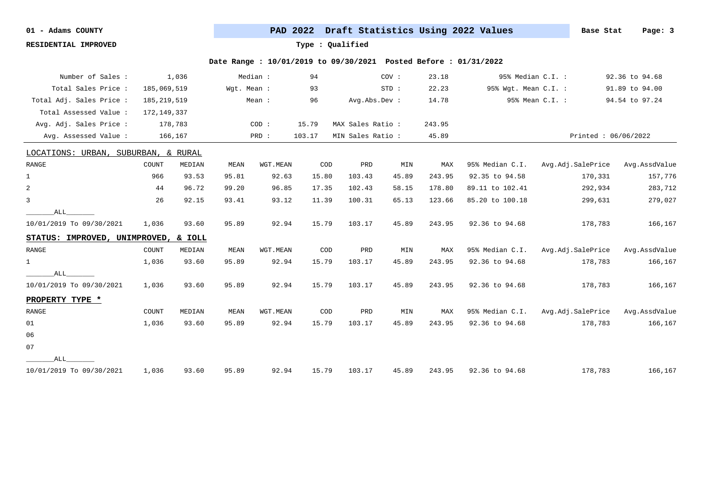**RESIDENTIAL IMPROVED Type : Qualified**

| Number of Sales :                    |               | 1,036   |             | Median : | 94     |                   | COV:  | 23.18  |                      | 95% Median C.I. :   | 92.36 to 94.68 |
|--------------------------------------|---------------|---------|-------------|----------|--------|-------------------|-------|--------|----------------------|---------------------|----------------|
| Total Sales Price :                  | 185,069,519   |         | Wgt. Mean : |          | 93     |                   | STD:  | 22.23  | 95% Wgt. Mean C.I. : |                     | 91.89 to 94.00 |
| Total Adj. Sales Price :             | 185, 219, 519 |         |             | Mean :   | 96     | Avg.Abs.Dev :     |       | 14.78  |                      | 95% Mean C.I. :     | 94.54 to 97.24 |
| Total Assessed Value :               | 172,149,337   |         |             |          |        |                   |       |        |                      |                     |                |
| Avg. Adj. Sales Price :              |               | 178,783 |             | COD:     | 15.79  | MAX Sales Ratio : |       | 243.95 |                      |                     |                |
| Avg. Assessed Value :                |               | 166,167 |             | PRD :    | 103.17 | MIN Sales Ratio : |       | 45.89  |                      | Printed: 06/06/2022 |                |
| LOCATIONS: URBAN, SUBURBAN, & RURAL  |               |         |             |          |        |                   |       |        |                      |                     |                |
| RANGE                                | COUNT         | MEDIAN  | MEAN        | WGT.MEAN | COD    | PRD               | MIN   | MAX    | 95% Median C.I.      | Avg.Adj.SalePrice   | Avg.AssdValue  |
| $\mathbf 1$                          | 966           | 93.53   | 95.81       | 92.63    | 15.80  | 103.43            | 45.89 | 243.95 | 92.35 to 94.58       | 170,331             | 157,776        |
| $\overline{a}$                       | 44            | 96.72   | 99.20       | 96.85    | 17.35  | 102.43            | 58.15 | 178.80 | 89.11 to 102.41      | 292,934             | 283,712        |
| 3                                    | 26            | 92.15   | 93.41       | 93.12    | 11.39  | 100.31            | 65.13 | 123.66 | 85.20 to 100.18      | 299,631             | 279,027        |
| ALL                                  |               |         |             |          |        |                   |       |        |                      |                     |                |
| 10/01/2019 To 09/30/2021             | 1,036         | 93.60   | 95.89       | 92.94    | 15.79  | 103.17            | 45.89 | 243.95 | 92.36 to 94.68       | 178,783             | 166,167        |
| STATUS: IMPROVED, UNIMPROVED, & IOLL |               |         |             |          |        |                   |       |        |                      |                     |                |
| RANGE                                | COUNT         | MEDIAN  | MEAN        | WGT.MEAN | COD    | PRD               | MIN   | MAX    | 95% Median C.I.      | Avg.Adj.SalePrice   | Avg.AssdValue  |
| $\mathbf{1}$                         | 1,036         | 93.60   | 95.89       | 92.94    | 15.79  | 103.17            | 45.89 | 243.95 | 92.36 to 94.68       | 178,783             | 166,167        |
| ALL                                  |               |         |             |          |        |                   |       |        |                      |                     |                |
| 10/01/2019 To 09/30/2021             | 1,036         | 93.60   | 95.89       | 92.94    | 15.79  | 103.17            | 45.89 | 243.95 | 92.36 to 94.68       | 178,783             | 166,167        |
| PROPERTY TYPE *                      |               |         |             |          |        |                   |       |        |                      |                     |                |
| RANGE                                | COUNT         | MEDIAN  | MEAN        | WGT.MEAN | COD    | PRD               | MIN   | MAX    | 95% Median C.I.      | Avg.Adj.SalePrice   | Avg.AssdValue  |
| 01                                   | 1,036         | 93.60   | 95.89       | 92.94    | 15.79  | 103.17            | 45.89 | 243.95 | 92.36 to 94.68       | 178,783             | 166,167        |
| 06                                   |               |         |             |          |        |                   |       |        |                      |                     |                |
| 07                                   |               |         |             |          |        |                   |       |        |                      |                     |                |
| ALL                                  |               |         |             |          |        |                   |       |        |                      |                     |                |
| 10/01/2019 To 09/30/2021             | 1,036         | 93.60   | 95.89       | 92.94    | 15.79  | 103.17            | 45.89 | 243.95 | 92.36 to 94.68       | 178,783             | 166,167        |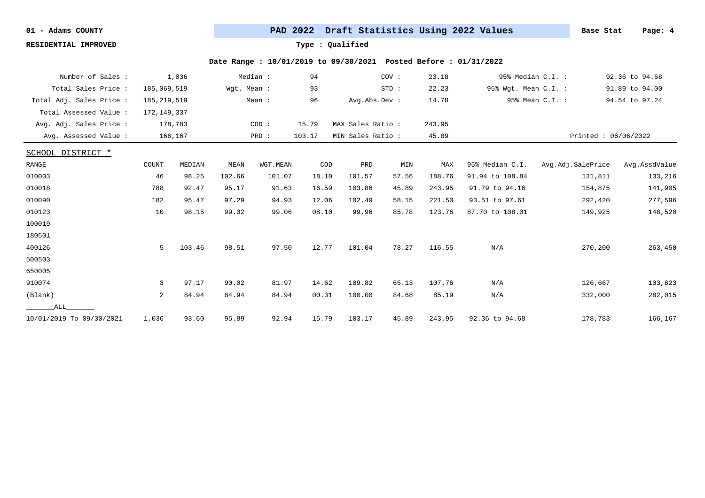**RESIDENTIAL IMPROVED Type : Qualified**

| Number of Sales :        |               | 1,036   |             | Median : | 94     |                   | COV:  | 23.18  |                      | 95% Median C.I. :   | 92.36 to 94.68 |
|--------------------------|---------------|---------|-------------|----------|--------|-------------------|-------|--------|----------------------|---------------------|----------------|
| Total Sales Price :      | 185,069,519   |         | Wqt. Mean : |          | 93     |                   | STD:  | 22.23  | 95% Wgt. Mean C.I. : |                     | 91.89 to 94.00 |
| Total Adj. Sales Price : | 185, 219, 519 |         |             | Mean :   | 96     | Avg.Abs.Dev :     |       | 14.78  |                      | 95% Mean C.I. :     | 94.54 to 97.24 |
| Total Assessed Value:    | 172, 149, 337 |         |             |          |        |                   |       |        |                      |                     |                |
| Avg. Adj. Sales Price :  |               | 178,783 |             | COD:     | 15.79  | MAX Sales Ratio:  |       | 243.95 |                      |                     |                |
| Avg. Assessed Value :    |               | 166,167 |             | PRD :    | 103.17 | MIN Sales Ratio : |       | 45.89  |                      | Printed: 06/06/2022 |                |
| SCHOOL DISTRICT *        |               |         |             |          |        |                   |       |        |                      |                     |                |
| RANGE                    | COUNT         | MEDIAN  | MEAN        | WGT.MEAN | COD    | PRD               | MIN   | MAX    | 95% Median C.I.      | Avg.Adj.SalePrice   | Avg.AssdValue  |
| 010003                   | 46            | 98.25   | 102.66      | 101.07   | 18.10  | 101.57            | 57.56 | 188.76 | 91.94 to 108.84      | 131,811             | 133,216        |
| 010018                   | 788           | 92.47   | 95.17       | 91.63    | 16.59  | 103.86            | 45.89 | 243.95 | 91.79 to 94.16       | 154,875             | 141,905        |
| 010090                   | 182           | 95.47   | 97.29       | 94.93    | 12.06  | 102.49            | 58.15 | 221.50 | 93.51 to 97.61       | 292,420             | 277,596        |
| 010123                   | 10            | 98.15   | 99.02       | 99.06    | 08.10  | 99.96             | 85.78 | 123.76 | 87.70 to 108.01      | 149,925             | 148,520        |
| 100019                   |               |         |             |          |        |                   |       |        |                      |                     |                |
| 180501                   |               |         |             |          |        |                   |       |        |                      |                     |                |
| 400126                   | 5             | 103.46  | 98.51       | 97.50    | 12.77  | 101.04            | 78.27 | 116.55 | N/A                  | 270,200             | 263,450        |
| 500503                   |               |         |             |          |        |                   |       |        |                      |                     |                |
| 650005                   |               |         |             |          |        |                   |       |        |                      |                     |                |
| 910074                   | 3             | 97.17   | 90.02       | 81.97    | 14.62  | 109.82            | 65.13 | 107.76 | N/A                  | 126,667             | 103,823        |
| (Blank)                  | 2             | 84.94   | 84.94       | 84.94    | 00.31  | 100.00            | 84.68 | 85.19  | N/A                  | 332,000             | 282,015        |
| ALL                      |               |         |             |          |        |                   |       |        |                      |                     |                |
| 10/01/2019 To 09/30/2021 | 1,036         | 93.60   | 95.89       | 92.94    | 15.79  | 103.17            | 45.89 | 243.95 | 92.36 to 94.68       | 178,783             | 166,167        |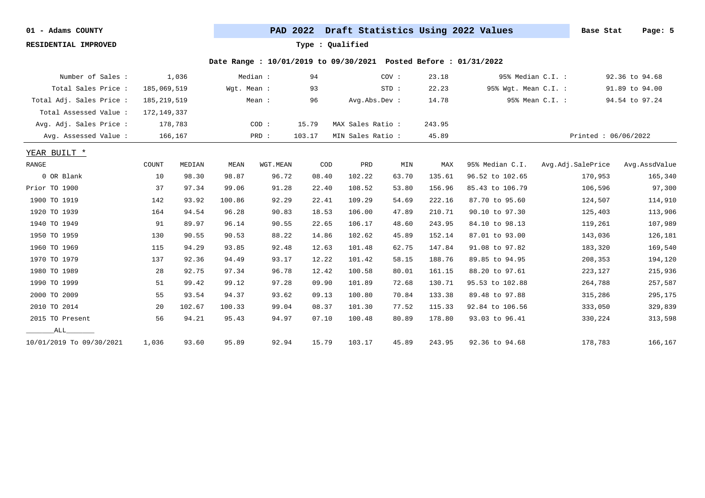**RESIDENTIAL IMPROVED Type : Qualified**

| Number of Sales :        |               | 1,036   |             | Median : | 94     |                   | COV:    | 23.18  | 95% Median C.I. :    |                   | 92.36 to 94.68      |
|--------------------------|---------------|---------|-------------|----------|--------|-------------------|---------|--------|----------------------|-------------------|---------------------|
| Total Sales Price:       | 185,069,519   |         | Wgt. Mean : |          | 93     |                   | $STD$ : | 22.23  | 95% Wgt. Mean C.I. : |                   | 91.89 to 94.00      |
| Total Adj. Sales Price : | 185, 219, 519 |         |             | Mean :   | 96     | Avg.Abs.Dev :     |         | 14.78  |                      | 95% Mean C.I. :   | 94.54 to 97.24      |
| Total Assessed Value :   | 172, 149, 337 |         |             |          |        |                   |         |        |                      |                   |                     |
| Avg. Adj. Sales Price :  |               | 178,783 |             | COD:     | 15.79  | MAX Sales Ratio:  |         | 243.95 |                      |                   |                     |
| Avg. Assessed Value :    |               | 166,167 |             | PRD :    | 103.17 | MIN Sales Ratio : |         | 45.89  |                      |                   | Printed: 06/06/2022 |
| YEAR BUILT *             |               |         |             |          |        |                   |         |        |                      |                   |                     |
| RANGE                    | COUNT         | MEDIAN  | MEAN        | WGT.MEAN | COD    | PRD               | MIN     | MAX    | 95% Median C.I.      | Avg.Adj.SalePrice | Avg.AssdValue       |
| 0 OR Blank               | 10            | 98.30   | 98.87       | 96.72    | 08.40  | 102.22            | 63.70   | 135.61 | 96.52 to 102.65      | 170,953           | 165,340             |
| Prior TO 1900            | 37            | 97.34   | 99.06       | 91.28    | 22.40  | 108.52            | 53.80   | 156.96 | 85.43 to 106.79      | 106,596           | 97,300              |
| 1900 TO 1919             | 142           | 93.92   | 100.86      | 92.29    | 22.41  | 109.29            | 54.69   | 222.16 | 87.70 to 95.60       | 124,507           | 114,910             |
| 1920 TO 1939             | 164           | 94.54   | 96.28       | 90.83    | 18.53  | 106.00            | 47.89   | 210.71 | 90.10 to 97.30       | 125,403           | 113,906             |
| 1940 TO 1949             | 91            | 89.97   | 96.14       | 90.55    | 22.65  | 106.17            | 48.60   | 243.95 | 84.10 to 98.13       | 119,261           | 107,989             |
| 1950 TO 1959             | 130           | 90.55   | 90.53       | 88.22    | 14.86  | 102.62            | 45.89   | 152.14 | 87.01 to 93.00       | 143,036           | 126,181             |
| 1960 TO 1969             | 115           | 94.29   | 93.85       | 92.48    | 12.63  | 101.48            | 62.75   | 147.84 | 91.08 to 97.82       | 183,320           | 169,540             |
| 1970 TO 1979             | 137           | 92.36   | 94.49       | 93.17    | 12.22  | 101.42            | 58.15   | 188.76 | 89.85 to 94.95       | 208,353           | 194,120             |
| 1980 TO 1989             | 28            | 92.75   | 97.34       | 96.78    | 12.42  | 100.58            | 80.01   | 161.15 | 88.20 to 97.61       | 223,127           | 215,936             |
| 1990 TO 1999             | 51            | 99.42   | 99.12       | 97.28    | 09.90  | 101.89            | 72.68   | 130.71 | 95.53 to 102.88      | 264,788           | 257,587             |
| 2000 TO 2009             | 55            | 93.54   | 94.37       | 93.62    | 09.13  | 100.80            | 70.84   | 133.38 | 89.48 to 97.88       | 315,286           | 295,175             |
| 2010 TO 2014             | 20            | 102.67  | 100.33      | 99.04    | 08.37  | 101.30            | 77.52   | 115.33 | 92.84 to 106.56      | 333,050           | 329,839             |
| 2015 TO Present          | 56            | 94.21   | 95.43       | 94.97    | 07.10  | 100.48            | 80.89   | 178.80 | 93.03 to 96.41       | 330,224           | 313,598             |
| ALL                      |               |         |             |          |        |                   |         |        |                      |                   |                     |
| 10/01/2019 To 09/30/2021 | 1,036         | 93.60   | 95.89       | 92.94    | 15.79  | 103.17            | 45.89   | 243.95 | 92.36 to 94.68       | 178,783           | 166,167             |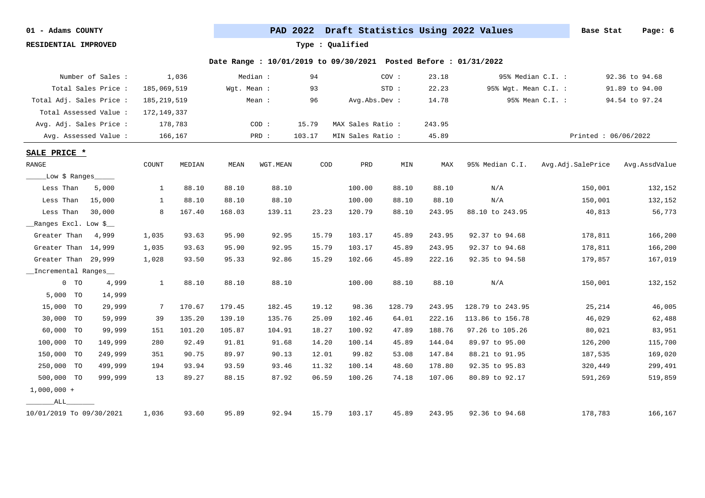**RESIDENTIAL IMPROVED Type : Qualified**

|                               |        | Number of Sales :        |               | 1,036   |             | Median:  | 94     |                   | COV:   | 23.18  | 95% Median C.I. :    |                       | 92.36 to 94.68 |
|-------------------------------|--------|--------------------------|---------------|---------|-------------|----------|--------|-------------------|--------|--------|----------------------|-----------------------|----------------|
|                               |        | Total Sales Price :      | 185,069,519   |         | Wqt. Mean : |          | 93     |                   | STD:   | 22.23  | 95% Wgt. Mean C.I. : |                       | 91.89 to 94.00 |
|                               |        | Total Adj. Sales Price : | 185, 219, 519 |         |             | Mean :   | 96     | Avg.Abs.Dev :     |        | 14.78  |                      | 95% Mean C.I. :       | 94.54 to 97.24 |
|                               |        | Total Assessed Value :   | 172,149,337   |         |             |          |        |                   |        |        |                      |                       |                |
|                               |        | Avg. Adj. Sales Price :  |               | 178,783 |             | COD:     | 15.79  | MAX Sales Ratio : |        | 243.95 |                      |                       |                |
|                               |        | Avg. Assessed Value:     |               | 166,167 |             | PRD :    | 103.17 | MIN Sales Ratio : |        | 45.89  |                      | Printed: $06/06/2022$ |                |
| SALE PRICE *                  |        |                          |               |         |             |          |        |                   |        |        |                      |                       |                |
| $\ensuremath{\mathsf{RANGE}}$ |        |                          | COUNT         | MEDIAN  | MEAN        | WGT.MEAN | COD    | PRD               | MIN    | MAX    | 95% Median C.I.      | Avg.Adj.SalePrice     | Avg.AssdValue  |
|                               |        | _Low \$ Ranges_____      |               |         |             |          |        |                   |        |        |                      |                       |                |
| Less Than                     |        | 5,000                    | $\mathbf{1}$  | 88.10   | 88.10       | 88.10    |        | 100.00            | 88.10  | 88.10  | N/A                  | 150,001               | 132,152        |
| Less Than                     |        | 15,000                   | 1             | 88.10   | 88.10       | 88.10    |        | 100.00            | 88.10  | 88.10  | N/A                  | 150,001               | 132,152        |
| Less Than                     |        | 30,000                   | 8             | 167.40  | 168.03      | 139.11   | 23.23  | 120.79            | 88.10  | 243.95 | 88.10 to 243.95      | 40,813                | 56,773         |
| Ranges Excl. Low \$           |        |                          |               |         |             |          |        |                   |        |        |                      |                       |                |
| Greater Than                  |        | 4,999                    | 1,035         | 93.63   | 95.90       | 92.95    | 15.79  | 103.17            | 45.89  | 243.95 | 92.37 to 94.68       | 178,811               | 166,200        |
| Greater Than 14,999           |        |                          | 1,035         | 93.63   | 95.90       | 92.95    | 15.79  | 103.17            | 45.89  | 243.95 | 92.37 to 94.68       | 178,811               | 166,200        |
| Greater Than 29,999           |        |                          | 1,028         | 93.50   | 95.33       | 92.86    | 15.29  | 102.66            | 45.89  | 222.16 | 92.35 to 94.58       | 179,857               | 167,019        |
| _Incremental Ranges_          |        |                          |               |         |             |          |        |                   |        |        |                      |                       |                |
|                               | $0$ TO | 4,999                    | $\mathbf{1}$  | 88.10   | 88.10       | 88.10    |        | 100.00            | 88.10  | 88.10  | N/A                  | 150,001               | 132,152        |
| 5,000 TO                      |        | 14,999                   |               |         |             |          |        |                   |        |        |                      |                       |                |
| 15,000 TO                     |        | 29,999                   | 7             | 170.67  | 179.45      | 182.45   | 19.12  | 98.36             | 128.79 | 243.95 | 128.79 to 243.95     | 25,214                | 46,005         |
| 30,000 TO                     |        | 59,999                   | 39            | 135.20  | 139.10      | 135.76   | 25.09  | 102.46            | 64.01  | 222.16 | 113.86 to 156.78     | 46,029                | 62,488         |
| 60,000 TO                     |        | 99,999                   | 151           | 101.20  | 105.87      | 104.91   | 18.27  | 100.92            | 47.89  | 188.76 | 97.26 to 105.26      | 80,021                | 83,951         |
| 100,000 TO                    |        | 149,999                  | 280           | 92.49   | 91.81       | 91.68    | 14.20  | 100.14            | 45.89  | 144.04 | 89.97 to 95.00       | 126,200               | 115,700        |
| 150,000 TO                    |        | 249,999                  | 351           | 90.75   | 89.97       | 90.13    | 12.01  | 99.82             | 53.08  | 147.84 | 88.21 to 91.95       | 187,535               | 169,020        |
| 250,000 TO                    |        | 499,999                  | 194           | 93.94   | 93.59       | 93.46    | 11.32  | 100.14            | 48.60  | 178.80 | 92.35 to 95.83       | 320,449               | 299,491        |
| 500,000 TO                    |        | 999,999                  | 13            | 89.27   | 88.15       | 87.92    | 06.59  | 100.26            | 74.18  | 107.06 | 80.89 to 92.17       | 591,269               | 519,859        |
| $1,000,000 +$                 |        |                          |               |         |             |          |        |                   |        |        |                      |                       |                |
| ALL                           |        |                          |               |         |             |          |        |                   |        |        |                      |                       |                |
| 10/01/2019 To 09/30/2021      |        |                          | 1,036         | 93.60   | 95.89       | 92.94    | 15.79  | 103.17            | 45.89  | 243.95 | 92.36 to 94.68       | 178,783               | 166,167        |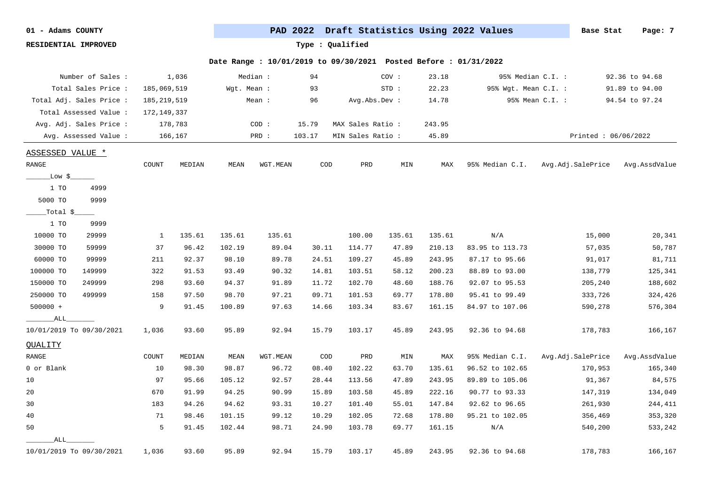**RESIDENTIAL IMPROVED Type : Qualified**

| Number of Sales :        |               | 1,036   |             | Median : | 94     |                  | COV:    | 23.18  |                      | 95% Median C.I. :   | 92.36 to 94.68 |
|--------------------------|---------------|---------|-------------|----------|--------|------------------|---------|--------|----------------------|---------------------|----------------|
| Total Sales Price :      | 185,069,519   |         | Wgt. Mean : |          | 93     |                  | $STD$ : | 22.23  | 95% Wgt. Mean C.I. : |                     | 91.89 to 94.00 |
| Total Adj. Sales Price : | 185, 219, 519 |         |             | Mean :   | 96     | Avg.Abs.Dev :    |         | 14.78  |                      | 95% Mean C.I. :     | 94.54 to 97.24 |
| Total Assessed Value:    | 172,149,337   |         |             |          |        |                  |         |        |                      |                     |                |
| Avg. Adj. Sales Price :  |               | 178,783 |             | COD:     | 15.79  | MAX Sales Ratio: |         | 243.95 |                      |                     |                |
| Avg. Assessed Value :    |               | 166,167 |             | PRD :    | 103.17 | MIN Sales Ratio: |         | 45.89  |                      | Printed: 06/06/2022 |                |
| ASSESSED VALUE *         |               |         |             |          |        |                  |         |        |                      |                     |                |
| RANGE                    | COUNT         | MEDIAN  | MEAN        | WGT.MEAN | COD    | PRD              | MIN     | MAX    | 95% Median C.I.      | Avg.Adj.SalePrice   | Avg.AssdValue  |
| _Low \$_                 |               |         |             |          |        |                  |         |        |                      |                     |                |
| 1 TO<br>4999             |               |         |             |          |        |                  |         |        |                      |                     |                |
| 9999<br>5000 TO          |               |         |             |          |        |                  |         |        |                      |                     |                |
| _Total $\zeta$ _         |               |         |             |          |        |                  |         |        |                      |                     |                |
| 1 TO<br>9999             |               |         |             |          |        |                  |         |        |                      |                     |                |
| 10000 TO<br>29999        | 1             | 135.61  | 135.61      | 135.61   |        | 100.00           | 135.61  | 135.61 | N/A                  | 15,000              | 20,341         |
| 30000 TO<br>59999        | 37            | 96.42   | 102.19      | 89.04    | 30.11  | 114.77           | 47.89   | 210.13 | 83.95 to 113.73      | 57,035              | 50,787         |
| 60000 TO<br>99999        | 211           | 92.37   | 98.10       | 89.78    | 24.51  | 109.27           | 45.89   | 243.95 | 87.17 to 95.66       | 91,017              | 81,711         |
| 100000 TO<br>149999      | 322           | 91.53   | 93.49       | 90.32    | 14.81  | 103.51           | 58.12   | 200.23 | 88.89 to 93.00       | 138,779             | 125,341        |
| 150000 TO<br>249999      | 298           | 93.60   | 94.37       | 91.89    | 11.72  | 102.70           | 48.60   | 188.76 | 92.07 to 95.53       | 205,240             | 188,602        |
| 250000 TO<br>499999      | 158           | 97.50   | 98.70       | 97.21    | 09.71  | 101.53           | 69.77   | 178.80 | 95.41 to 99.49       | 333,726             | 324,426        |
| $500000 +$               | 9             | 91.45   | 100.89      | 97.63    | 14.66  | 103.34           | 83.67   | 161.15 | 84.97 to 107.06      | 590,278             | 576,304        |
| ALL                      |               |         |             |          |        |                  |         |        |                      |                     |                |
| 10/01/2019 To 09/30/2021 | 1,036         | 93.60   | 95.89       | 92.94    | 15.79  | 103.17           | 45.89   | 243.95 | 92.36 to 94.68       | 178,783             | 166,167        |
| QUALITY                  |               |         |             |          |        |                  |         |        |                      |                     |                |
| RANGE                    | COUNT         | MEDIAN  | MEAN        | WGT.MEAN | COD    | PRD              | MIN     | MAX    | 95% Median C.I.      | Avg.Adj.SalePrice   | Avg.AssdValue  |
| 0 or Blank               | 10            | 98.30   | 98.87       | 96.72    | 08.40  | 102.22           | 63.70   | 135.61 | 96.52 to 102.65      | 170,953             | 165,340        |
| 10                       | 97            | 95.66   | 105.12      | 92.57    | 28.44  | 113.56           | 47.89   | 243.95 | 89.89 to 105.06      | 91,367              | 84,575         |
| 20                       | 670           | 91.99   | 94.25       | 90.99    | 15.89  | 103.58           | 45.89   | 222.16 | 90.77 to 93.33       | 147,319             | 134,049        |
| 30                       | 183           | 94.26   | 94.62       | 93.31    | 10.27  | 101.40           | 55.01   | 147.84 | 92.62 to 96.65       | 261,930             | 244,411        |
| $40$                     | 71            | 98.46   | 101.15      | 99.12    | 10.29  | 102.05           | 72.68   | 178.80 | 95.21 to 102.05      | 356,469             | 353,320        |
| 50                       | 5             | 91.45   | 102.44      | 98.71    | 24.90  | 103.78           | 69.77   | 161.15 | N/A                  | 540,200             | 533,242        |
| ALL                      |               |         |             |          |        |                  |         |        |                      |                     |                |
| 10/01/2019 To 09/30/2021 | 1,036         | 93.60   | 95.89       | 92.94    | 15.79  | 103.17           | 45.89   | 243.95 | 92.36 to 94.68       | 178,783             | 166,167        |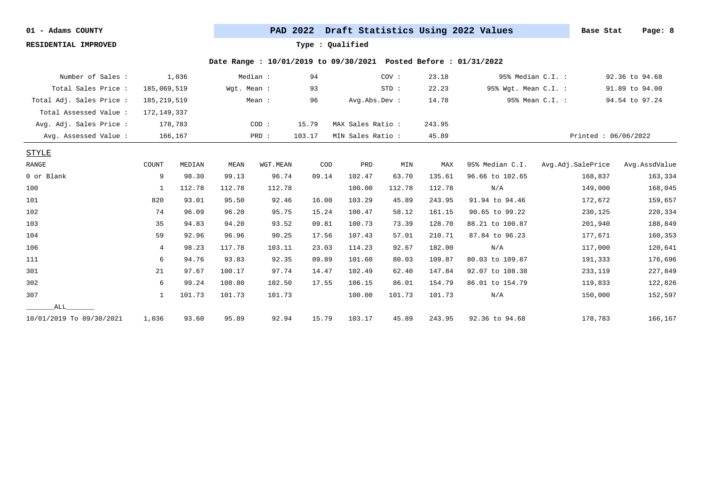**RESIDENTIAL IMPROVED Type : Qualified**

| Number of Sales :        |                | 1,036   |             | Median : | 94     |                   | COV:   | 23.18  | 95% Median C.I. :    |                     | 92.36 to 94.68 |
|--------------------------|----------------|---------|-------------|----------|--------|-------------------|--------|--------|----------------------|---------------------|----------------|
| Total Sales Price:       | 185,069,519    |         | Wgt. Mean : |          | 93     |                   | STD:   | 22.23  | 95% Wgt. Mean C.I. : |                     | 91.89 to 94.00 |
| Total Adj. Sales Price : | 185, 219, 519  |         |             | Mean:    | 96     | Avg.Abs.Dev :     |        | 14.78  |                      | 95% Mean C.I. :     | 94.54 to 97.24 |
| Total Assessed Value:    | 172, 149, 337  |         |             |          |        |                   |        |        |                      |                     |                |
| Avg. Adj. Sales Price :  |                | 178,783 |             | COD:     | 15.79  | MAX Sales Ratio:  |        | 243.95 |                      |                     |                |
| Avg. Assessed Value:     |                | 166,167 |             | PRD :    | 103.17 | MIN Sales Ratio : |        | 45.89  |                      | Printed: 06/06/2022 |                |
| <b>STYLE</b>             |                |         |             |          |        |                   |        |        |                      |                     |                |
| RANGE                    | COUNT          | MEDIAN  | MEAN        | WGT.MEAN | COD    | PRD               | MIN    | MAX    | 95% Median C.I.      | Avg.Adj.SalePrice   | Avg.AssdValue  |
| 0 or Blank               | 9              | 98.30   | 99.13       | 96.74    | 09.14  | 102.47            | 63.70  | 135.61 | 96.66 to 102.65      | 168,837             | 163,334        |
| 100                      | $\mathbf{1}$   | 112.78  | 112.78      | 112.78   |        | 100.00            | 112.78 | 112.78 | N/A                  | 149,000             | 168,045        |
| 101                      | 820            | 93.01   | 95.50       | 92.46    | 16.00  | 103.29            | 45.89  | 243.95 | 91.94 to 94.46       | 172,672             | 159,657        |
| 102                      | 74             | 96.09   | 96.20       | 95.75    | 15.24  | 100.47            | 58.12  | 161.15 | 90.65 to 99.22       | 230,125             | 220,334        |
| 103                      | 35             | 94.83   | 94.20       | 93.52    | 09.81  | 100.73            | 73.39  | 128.70 | 88.21 to 100.87      | 201,940             | 188,849        |
| 104                      | 59             | 92.96   | 96.96       | 90.25    | 17.56  | 107.43            | 57.01  | 210.71 | 87.84 to 96.23       | 177,671             | 160,353        |
| 106                      | $\overline{4}$ | 98.23   | 117.78      | 103.11   | 23.03  | 114.23            | 92.67  | 182.00 | N/A                  | 117,000             | 120,641        |
| 111                      | 6              | 94.76   | 93.83       | 92.35    | 09.89  | 101.60            | 80.03  | 109.87 | 80.03 to 109.87      | 191,333             | 176,696        |
| 301                      | 21             | 97.67   | 100.17      | 97.74    | 14.47  | 102.49            | 62.40  | 147.84 | 92.07 to 108.38      | 233,119             | 227,849        |
| 302                      | 6              | 99.24   | 108.80      | 102.50   | 17.55  | 106.15            | 86.01  | 154.79 | 86.01 to 154.79      | 119,833             | 122,826        |
| 307                      | 1              | 101.73  | 101.73      | 101.73   |        | 100.00            | 101.73 | 101.73 | N/A                  | 150,000             | 152,597        |
| ALL                      |                |         |             |          |        |                   |        |        |                      |                     |                |
| 10/01/2019 To 09/30/2021 | 1,036          | 93.60   | 95.89       | 92.94    | 15.79  | 103.17            | 45.89  | 243.95 | 92.36 to 94.68       | 178,783             | 166,167        |